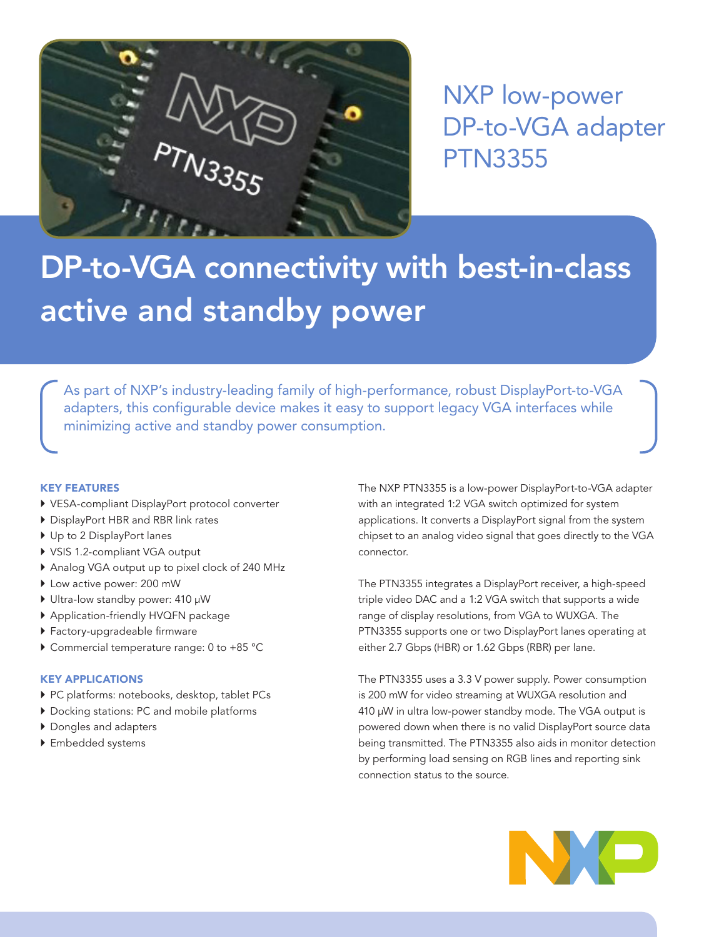

NXP low-power DP-to-VGA adapter PTN3355

# DP-to-VGA connectivity with best-in-class active and standby power

As part of NXP's industry-leading family of high-performance, robust DisplayPort-to-VGA adapters, this configurable device makes it easy to support legacy VGA interfaces while minimizing active and standby power consumption.

## KEY FEATURES

- ` VESA-compliant DisplayPort protocol converter
- ▶ DisplayPort HBR and RBR link rates
- ▶ Up to 2 DisplayPort lanes
- ▶ VSIS 1.2-compliant VGA output
- $\triangleright$  Analog VGA output up to pixel clock of 240 MHz
- $\blacktriangleright$  Low active power: 200 mW
- Ultra-low standby power: 410 µW
- ` Application-friendly HVQFN package
- ` Factory-upgradeable firmware
- ▶ Commercial temperature range: 0 to +85 °C

## KEY APPLICATIONS

- ▶ PC platforms: notebooks, desktop, tablet PCs
- $\blacktriangleright$  Docking stations: PC and mobile platforms
- ▶ Dongles and adapters
- $\blacktriangleright$  Embedded systems

The NXP PTN3355 is a low-power DisplayPort-to-VGA adapter with an integrated 1:2 VGA switch optimized for system applications. It converts a DisplayPort signal from the system chipset to an analog video signal that goes directly to the VGA connector.

The PTN3355 integrates a DisplayPort receiver, a high-speed triple video DAC and a 1:2 VGA switch that supports a wide range of display resolutions, from VGA to WUXGA. The PTN3355 supports one or two DisplayPort lanes operating at either 2.7 Gbps (HBR) or 1.62 Gbps (RBR) per lane.

The PTN3355 uses a 3.3 V power supply. Power consumption is 200 mW for video streaming at WUXGA resolution and 410 µW in ultra low-power standby mode. The VGA output is powered down when there is no valid DisplayPort source data being transmitted. The PTN3355 also aids in monitor detection by performing load sensing on RGB lines and reporting sink connection status to the source.